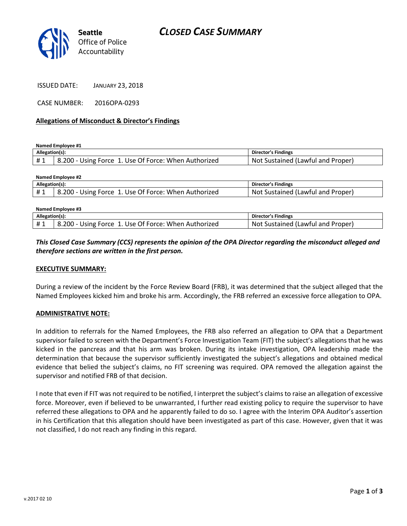# *CLOSED CASE SUMMARY*



ISSUED DATE: JANUARY 23, 2018

CASE NUMBER: 2016OPA-0293

#### **Allegations of Misconduct & Director's Findings**

**Named Employee #1**

| Allegation(s): |                                                                   | Director's Findings               |
|----------------|-------------------------------------------------------------------|-----------------------------------|
|                | <sup>1</sup> 8.200 - Using Force 1. Use Of Force: When Authorized | Not Sustained (Lawful and Proper) |

| Named Employee #2 |                                                      |                                   |  |  |
|-------------------|------------------------------------------------------|-----------------------------------|--|--|
| Allegation(s):    |                                                      | Director's Findings               |  |  |
| #1                | 8.200 - Using Force 1. Use Of Force: When Authorized | Not Sustained (Lawful and Proper) |  |  |
|                   |                                                      |                                   |  |  |

| Named Employee #3 |                                                      |                                   |  |
|-------------------|------------------------------------------------------|-----------------------------------|--|
| Allegation(s):    |                                                      | <b>Director's Findings</b>        |  |
| #1                | 8.200 - Using Force 1. Use Of Force: When Authorized | Not Sustained (Lawful and Proper) |  |

### *This Closed Case Summary (CCS) represents the opinion of the OPA Director regarding the misconduct alleged and therefore sections are written in the first person.*

#### **EXECUTIVE SUMMARY:**

During a review of the incident by the Force Review Board (FRB), it was determined that the subject alleged that the Named Employees kicked him and broke his arm. Accordingly, the FRB referred an excessive force allegation to OPA.

#### **ADMINISTRATIVE NOTE:**

In addition to referrals for the Named Employees, the FRB also referred an allegation to OPA that a Department supervisor failed to screen with the Department's Force Investigation Team (FIT) the subject's allegations that he was kicked in the pancreas and that his arm was broken. During its intake investigation, OPA leadership made the determination that because the supervisor sufficiently investigated the subject's allegations and obtained medical evidence that belied the subject's claims, no FIT screening was required. OPA removed the allegation against the supervisor and notified FRB of that decision.

I note that even if FIT was not required to be notified, I interpret the subject's claims to raise an allegation of excessive force. Moreover, even if believed to be unwarranted, I further read existing policy to require the supervisor to have referred these allegations to OPA and he apparently failed to do so. I agree with the Interim OPA Auditor's assertion in his Certification that this allegation should have been investigated as part of this case. However, given that it was not classified, I do not reach any finding in this regard.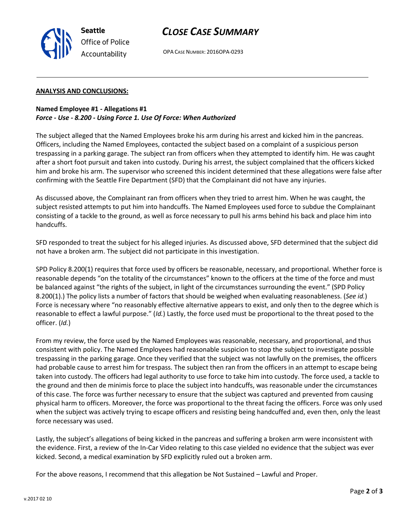

## *CLOSE CASE SUMMARY*

OPA CASE NUMBER: 2016OPA-0293

#### **ANALYSIS AND CONCLUSIONS:**

### **Named Employee #1 - Allegations #1** *Force - Use - 8.200 - Using Force 1. Use Of Force: When Authorized*

The subject alleged that the Named Employees broke his arm during his arrest and kicked him in the pancreas. Officers, including the Named Employees, contacted the subject based on a complaint of a suspicious person trespassing in a parking garage. The subject ran from officers when they attempted to identify him. He was caught after a short foot pursuit and taken into custody. During his arrest, the subject complained that the officers kicked him and broke his arm. The supervisor who screened this incident determined that these allegations were false after confirming with the Seattle Fire Department (SFD) that the Complainant did not have any injuries.

As discussed above, the Complainant ran from officers when they tried to arrest him. When he was caught, the subject resisted attempts to put him into handcuffs. The Named Employees used force to subdue the Complainant consisting of a tackle to the ground, as well as force necessary to pull his arms behind his back and place him into handcuffs.

SFD responded to treat the subject for his alleged injuries. As discussed above, SFD determined that the subject did not have a broken arm. The subject did not participate in this investigation.

SPD Policy 8.200(1) requires that force used by officers be reasonable, necessary, and proportional. Whether force is reasonable depends "on the totality of the circumstances" known to the officers at the time of the force and must be balanced against "the rights of the subject, in light of the circumstances surrounding the event." (SPD Policy 8.200(1).) The policy lists a number of factors that should be weighed when evaluating reasonableness. (*See id.*) Force is necessary where "no reasonably effective alternative appears to exist, and only then to the degree which is reasonable to effect a lawful purpose." (*Id.*) Lastly, the force used must be proportional to the threat posed to the officer. (*Id.*)

From my review, the force used by the Named Employees was reasonable, necessary, and proportional, and thus consistent with policy. The Named Employees had reasonable suspicion to stop the subject to investigate possible trespassing in the parking garage. Once they verified that the subject was not lawfully on the premises, the officers had probable cause to arrest him for trespass. The subject then ran from the officers in an attempt to escape being taken into custody. The officers had legal authority to use force to take him into custody. The force used, a tackle to the ground and then de minimis force to place the subject into handcuffs, was reasonable under the circumstances of this case. The force was further necessary to ensure that the subject was captured and prevented from causing physical harm to officers. Moreover, the force was proportional to the threat facing the officers. Force was only used when the subject was actively trying to escape officers and resisting being handcuffed and, even then, only the least force necessary was used.

Lastly, the subject's allegations of being kicked in the pancreas and suffering a broken arm were inconsistent with the evidence. First, a review of the In-Car Video relating to this case yielded no evidence that the subject was ever kicked. Second, a medical examination by SFD explicitly ruled out a broken arm.

For the above reasons, I recommend that this allegation be Not Sustained – Lawful and Proper.